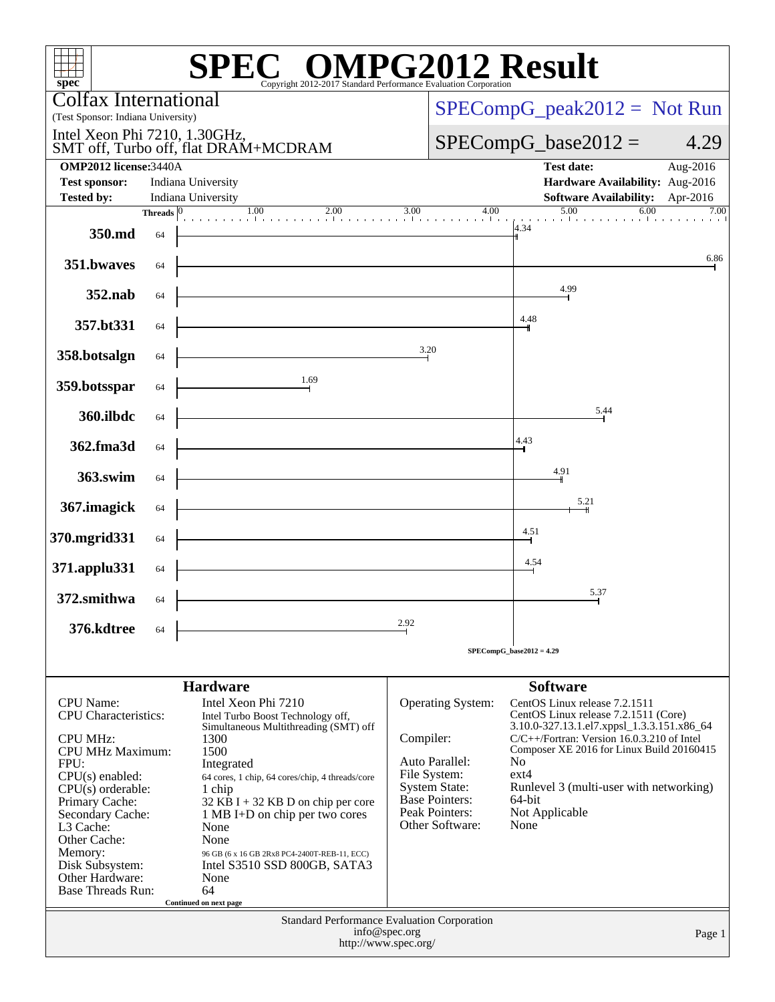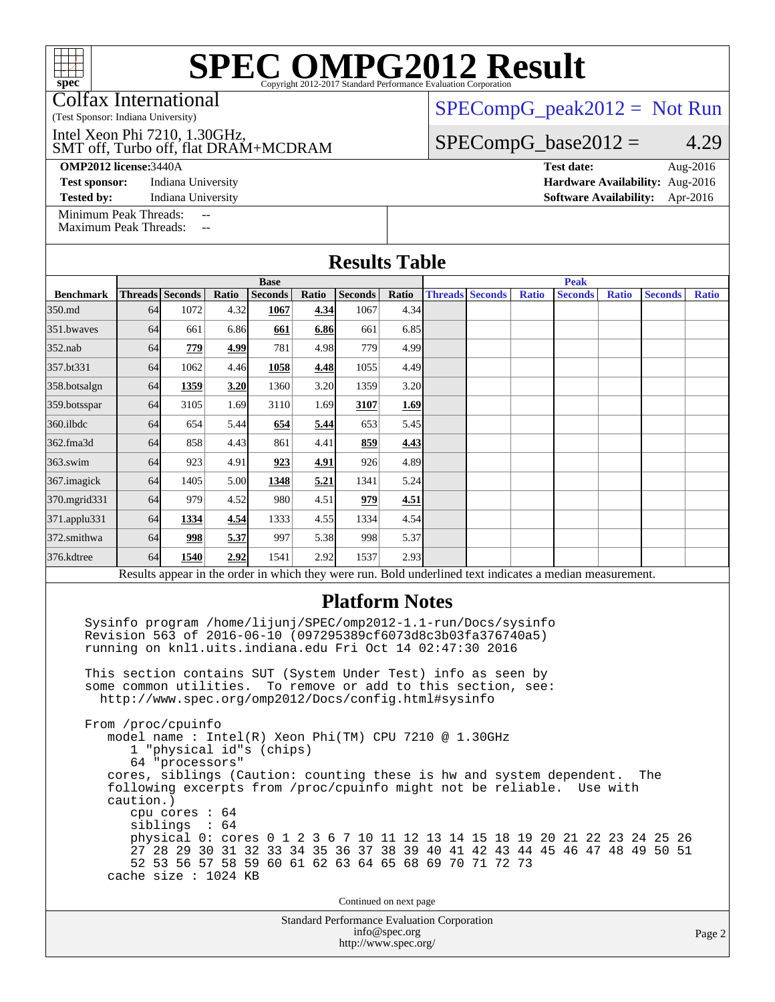Colfax International

(Test Sponsor: Indiana University)

SMT off, Turbo off, flat DRAM+MCDRAM Intel Xeon Phi 7210, 1.30GHz,

**[Test sponsor:](http://www.spec.org/auto/omp2012/Docs/result-fields.html#Testsponsor)** Indiana University **[Hardware Availability:](http://www.spec.org/auto/omp2012/Docs/result-fields.html#HardwareAvailability)** Aug-2016

[SPECompG\\_peak2012 =](http://www.spec.org/auto/omp2012/Docs/result-fields.html#SPECompGpeak2012) Not Run

 $SPECompG_base2012 = 4.29$  $SPECompG_base2012 = 4.29$ 

**[OMP2012 license:](http://www.spec.org/auto/omp2012/Docs/result-fields.html#OMP2012license)**3440A **[Test date:](http://www.spec.org/auto/omp2012/Docs/result-fields.html#Testdate)** Aug-2016

**[Tested by:](http://www.spec.org/auto/omp2012/Docs/result-fields.html#Testedby)** Indiana University **[Software Availability:](http://www.spec.org/auto/omp2012/Docs/result-fields.html#SoftwareAvailability)** Apr-2016

[Minimum Peak Threads:](http://www.spec.org/auto/omp2012/Docs/result-fields.html#MinimumPeakThreads) --

[Maximum Peak Threads:](http://www.spec.org/auto/omp2012/Docs/result-fields.html#MaximumPeakThreads) --

| <b>Results Table</b>                                                                                                                                                                                                                                                                                                                   |             |                                                                                                                                                                                                                                                                                                                                                 |       |                |       |                       |             |  |                                        |              |                                                                                                          |              |                |              |
|----------------------------------------------------------------------------------------------------------------------------------------------------------------------------------------------------------------------------------------------------------------------------------------------------------------------------------------|-------------|-------------------------------------------------------------------------------------------------------------------------------------------------------------------------------------------------------------------------------------------------------------------------------------------------------------------------------------------------|-------|----------------|-------|-----------------------|-------------|--|----------------------------------------|--------------|----------------------------------------------------------------------------------------------------------|--------------|----------------|--------------|
|                                                                                                                                                                                                                                                                                                                                        | <b>Base</b> |                                                                                                                                                                                                                                                                                                                                                 |       |                |       |                       | <b>Peak</b> |  |                                        |              |                                                                                                          |              |                |              |
| <b>Benchmark</b>                                                                                                                                                                                                                                                                                                                       |             | <b>Threads Seconds</b>                                                                                                                                                                                                                                                                                                                          | Ratio | <b>Seconds</b> | Ratio | <b>Seconds</b>        | Ratio       |  | <b>Threads Seconds</b>                 | <b>Ratio</b> | <b>Seconds</b>                                                                                           | <b>Ratio</b> | <b>Seconds</b> | <b>Ratio</b> |
| 350.md                                                                                                                                                                                                                                                                                                                                 | 64          | 1072                                                                                                                                                                                                                                                                                                                                            | 4.32  | 1067           | 4.34  | 1067                  | 4.34        |  |                                        |              |                                                                                                          |              |                |              |
| 351.bwayes                                                                                                                                                                                                                                                                                                                             | 64          | 661                                                                                                                                                                                                                                                                                                                                             | 6.86  | 661            | 6.86  | 661                   | 6.85        |  |                                        |              |                                                                                                          |              |                |              |
| $352$ .nab                                                                                                                                                                                                                                                                                                                             | 64          | 779                                                                                                                                                                                                                                                                                                                                             | 4.99  | 781            | 4.98  | 779                   | 4.99        |  |                                        |              |                                                                                                          |              |                |              |
| 357.bt331                                                                                                                                                                                                                                                                                                                              | 64          | 1062                                                                                                                                                                                                                                                                                                                                            | 4.46  | 1058           | 4.48  | 1055                  | 4.49        |  |                                        |              |                                                                                                          |              |                |              |
| 358.botsalgn                                                                                                                                                                                                                                                                                                                           | 64          | 1359                                                                                                                                                                                                                                                                                                                                            | 3.20  | 1360           | 3.20  | 1359                  | 3.20        |  |                                        |              |                                                                                                          |              |                |              |
| 359.botsspar                                                                                                                                                                                                                                                                                                                           | 64          | 3105                                                                                                                                                                                                                                                                                                                                            | 1.69  | 3110           | 1.69  | 3107                  | 1.69        |  |                                        |              |                                                                                                          |              |                |              |
| 360.ilbdc                                                                                                                                                                                                                                                                                                                              | 64          | 654                                                                                                                                                                                                                                                                                                                                             | 5.44  | 654            | 5.44  | 653                   | 5.45        |  |                                        |              |                                                                                                          |              |                |              |
| 362.fma3d                                                                                                                                                                                                                                                                                                                              | 64          | 858                                                                                                                                                                                                                                                                                                                                             | 4.43  | 861            | 4.41  | 859                   | 4.43        |  |                                        |              |                                                                                                          |              |                |              |
| 363.swim                                                                                                                                                                                                                                                                                                                               | 64          | 923                                                                                                                                                                                                                                                                                                                                             | 4.91  | 923            | 4.91  | 926                   | 4.89        |  |                                        |              |                                                                                                          |              |                |              |
| 367.imagick                                                                                                                                                                                                                                                                                                                            | 64          | 1405                                                                                                                                                                                                                                                                                                                                            | 5.00  | 1348           | 5.21  | 1341                  | 5.24        |  |                                        |              |                                                                                                          |              |                |              |
| 370.mgrid331                                                                                                                                                                                                                                                                                                                           | 64          | 979                                                                                                                                                                                                                                                                                                                                             | 4.52  | 980            | 4.51  | 979                   | 4.51        |  |                                        |              |                                                                                                          |              |                |              |
| 371.applu331                                                                                                                                                                                                                                                                                                                           | 64          | 1334                                                                                                                                                                                                                                                                                                                                            | 4.54  | 1333           | 4.55  | 1334                  | 4.54        |  |                                        |              |                                                                                                          |              |                |              |
| 372.smithwa                                                                                                                                                                                                                                                                                                                            | 64          | 998                                                                                                                                                                                                                                                                                                                                             | 5.37  | 997            | 5.38  | 998                   | 5.37        |  |                                        |              |                                                                                                          |              |                |              |
| 376.kdtree                                                                                                                                                                                                                                                                                                                             | 64          | 1540                                                                                                                                                                                                                                                                                                                                            | 2.92  | 1541           | 2.92  | 1537                  | 2.93        |  |                                        |              |                                                                                                          |              |                |              |
|                                                                                                                                                                                                                                                                                                                                        |             |                                                                                                                                                                                                                                                                                                                                                 |       |                |       |                       |             |  |                                        |              | Results appear in the order in which they were run. Bold underlined text indicates a median measurement. |              |                |              |
|                                                                                                                                                                                                                                                                                                                                        |             | Sysinfo program /home/lijunj/SPEC/omp2012-1.1-run/Docs/sysinfo<br>Revision 563 of 2016-06-10 (097295389cf6073d8c3b03fa376740a5)<br>running on knll.uits.indiana.edu Fri Oct 14 02:47:30 2016<br>This section contains SUT (System Under Test) info as seen by<br>some common utilities.<br>http://www.spec.org/omp2012/Docs/config.html#sysinfo |       |                |       | <b>Platform Notes</b> |             |  | To remove or add to this section, see: |              |                                                                                                          |              |                |              |
| From /proc/cpuinfo<br>model name: Intel(R) Xeon Phi(TM) CPU 7210 @ 1.30GHz<br>1 "physical id"s (chips)<br>64 "processors"<br>cores, siblings (Caution: counting these is hw and system dependent.<br>The<br>following excerpts from /proc/cpuinfo might not be reliable.<br>Use with<br>caution.)<br>$cpu$ cores : $64$<br>sibling: 64 |             |                                                                                                                                                                                                                                                                                                                                                 |       |                |       |                       |             |  |                                        |              |                                                                                                          |              |                |              |

 physical 0: cores 0 1 2 3 6 7 10 11 12 13 14 15 18 19 20 21 22 23 24 25 26 27 28 29 30 31 32 33 34 35 36 37 38 39 40 41 42 43 44 45 46 47 48 49 50 51 52 53 56 57 58 59 60 61 62 63 64 65 68 69 70 71 72 73 cache size : 1024 KB

Continued on next page

Standard Performance Evaluation Corporation [info@spec.org](mailto:info@spec.org) <http://www.spec.org/>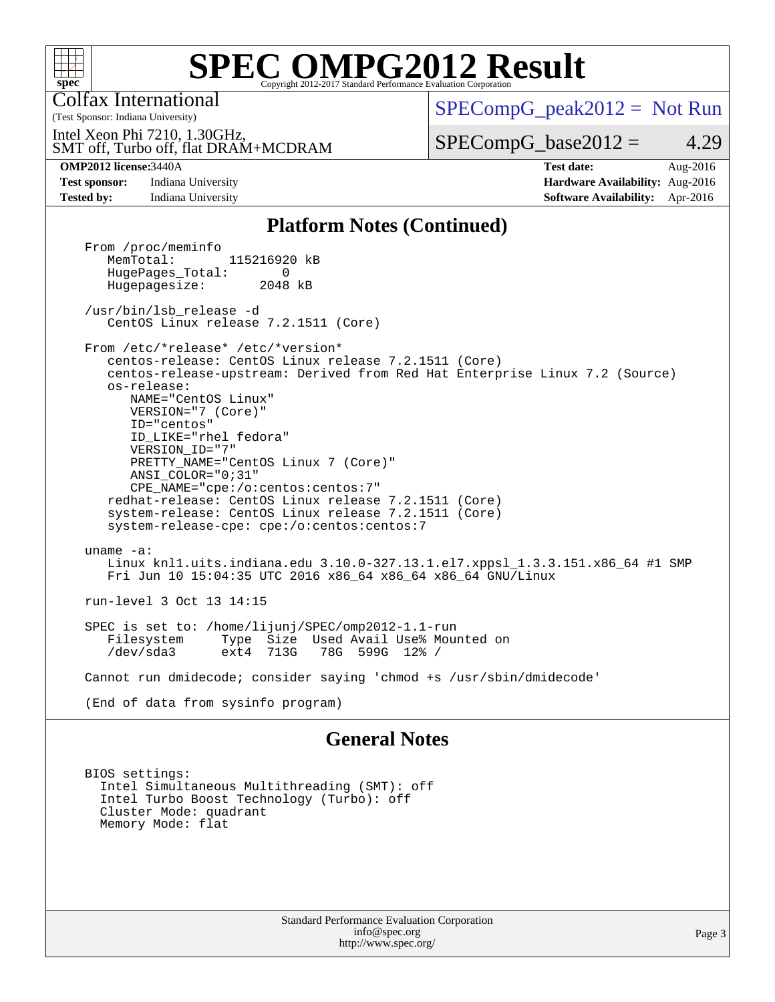

Colfax International

(Test Sponsor: Indiana University)

 $SPECompG_peak2012 = Not Run$  $SPECompG_peak2012 = Not Run$ 

SMT off, Turbo off, flat DRAM+MCDRAM Intel Xeon Phi 7210, 1.30GHz,

 $SPECompG_base2012 = 4.29$  $SPECompG_base2012 = 4.29$ 

**[OMP2012 license:](http://www.spec.org/auto/omp2012/Docs/result-fields.html#OMP2012license)**3440A **[Test date:](http://www.spec.org/auto/omp2012/Docs/result-fields.html#Testdate)** Aug-2016 **[Test sponsor:](http://www.spec.org/auto/omp2012/Docs/result-fields.html#Testsponsor)** Indiana University **[Hardware Availability:](http://www.spec.org/auto/omp2012/Docs/result-fields.html#HardwareAvailability)** Aug-2016 **[Tested by:](http://www.spec.org/auto/omp2012/Docs/result-fields.html#Testedby)** Indiana University **[Software Availability:](http://www.spec.org/auto/omp2012/Docs/result-fields.html#SoftwareAvailability)** Apr-2016

#### **[Platform Notes \(Continued\)](http://www.spec.org/auto/omp2012/Docs/result-fields.html#PlatformNotes)**

From /proc/meminfo<br>MemTotal: 115216920 kB HugePages\_Total: 0<br>Hugepagesize: 2048 kB Hugepagesize: /usr/bin/lsb\_release -d CentOS Linux release 7.2.1511 (Core) From /etc/\*release\* /etc/\*version\* centos-release: CentOS Linux release 7.2.1511 (Core) centos-release-upstream: Derived from Red Hat Enterprise Linux 7.2 (Source) os-release: NAME="CentOS Linux" VERSION="7 (Core)" ID="centos" ID\_LIKE="rhel fedora" VERSION\_ID="7" PRETTY\_NAME="CentOS Linux 7 (Core)" ANSI\_COLOR="0;31" CPE\_NAME="cpe:/o:centos:centos:7" redhat-release: CentOS Linux release 7.2.1511 (Core) system-release: CentOS Linux release 7.2.1511 (Core) system-release-cpe: cpe:/o:centos:centos:7 uname -a: Linux knl1.uits.indiana.edu 3.10.0-327.13.1.el7.xppsl\_1.3.3.151.x86\_64 #1 SMP Fri Jun 10 15:04:35 UTC 2016 x86\_64 x86\_64 x86\_64 GNU/Linux run-level 3 Oct 13 14:15 SPEC is set to: /home/lijunj/SPEC/omp2012-1.1-run Type Size Used Avail Use% Mounted on<br>ext4 713G 78G 599G 12% / /dev/sda3 ext4 713G 78G 599G 12% / Cannot run dmidecode; consider saying 'chmod +s /usr/sbin/dmidecode' (End of data from sysinfo program)

#### **[General Notes](http://www.spec.org/auto/omp2012/Docs/result-fields.html#GeneralNotes)**

 BIOS settings: Intel Simultaneous Multithreading (SMT): off Intel Turbo Boost Technology (Turbo): off Cluster Mode: quadrant Memory Mode: flat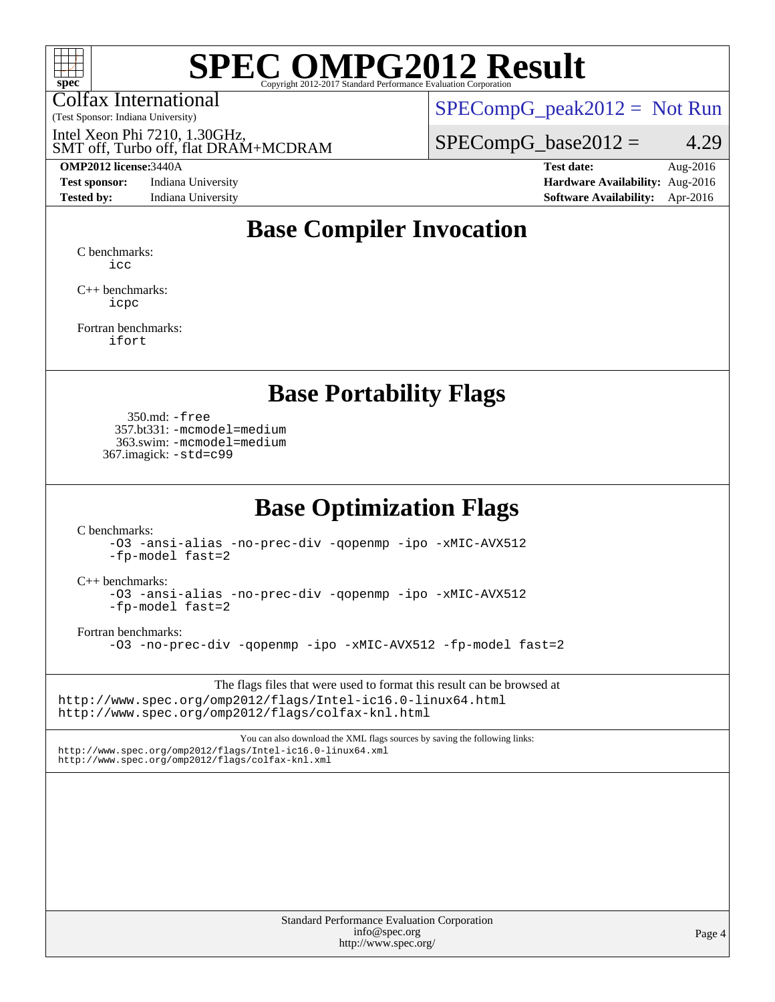

Colfax International

 $SPECompG_peak2012 = Not Run$  $SPECompG_peak2012 = Not Run$ 

SMT off, Turbo off, flat DRAM+MCDRAM Intel Xeon Phi 7210, 1.30GHz,

(Test Sponsor: Indiana University)

**[Test sponsor:](http://www.spec.org/auto/omp2012/Docs/result-fields.html#Testsponsor)** Indiana University **[Hardware Availability:](http://www.spec.org/auto/omp2012/Docs/result-fields.html#HardwareAvailability)** Aug-2016

 $SPECompG_base2012 = 4.29$  $SPECompG_base2012 = 4.29$ 

**[OMP2012 license:](http://www.spec.org/auto/omp2012/Docs/result-fields.html#OMP2012license)**3440A **[Test date:](http://www.spec.org/auto/omp2012/Docs/result-fields.html#Testdate)** Aug-2016 **[Tested by:](http://www.spec.org/auto/omp2012/Docs/result-fields.html#Testedby)** Indiana University **[Software Availability:](http://www.spec.org/auto/omp2012/Docs/result-fields.html#SoftwareAvailability)** Apr-2016

### **[Base Compiler Invocation](http://www.spec.org/auto/omp2012/Docs/result-fields.html#BaseCompilerInvocation)**

[C benchmarks](http://www.spec.org/auto/omp2012/Docs/result-fields.html#Cbenchmarks): [icc](http://www.spec.org/omp2012/results/res2017q1/omp2012-20161215-00091.flags.html#user_CCbase_intel_icc_a87c68a857bc5ec5362391a49d3a37a6)

[C++ benchmarks:](http://www.spec.org/auto/omp2012/Docs/result-fields.html#CXXbenchmarks) [icpc](http://www.spec.org/omp2012/results/res2017q1/omp2012-20161215-00091.flags.html#user_CXXbase_intel_icpc_2d899f8d163502b12eb4a60069f80c1c)

[Fortran benchmarks](http://www.spec.org/auto/omp2012/Docs/result-fields.html#Fortranbenchmarks): [ifort](http://www.spec.org/omp2012/results/res2017q1/omp2012-20161215-00091.flags.html#user_FCbase_intel_ifort_8a5e5e06b19a251bdeaf8fdab5d62f20)

#### **[Base Portability Flags](http://www.spec.org/auto/omp2012/Docs/result-fields.html#BasePortabilityFlags)**

 350.md: [-free](http://www.spec.org/omp2012/results/res2017q1/omp2012-20161215-00091.flags.html#user_baseFPORTABILITY350_md_f-FR_e51be0673775d2012b3310fa5323f530) 357.bt331: [-mcmodel=medium](http://www.spec.org/omp2012/results/res2017q1/omp2012-20161215-00091.flags.html#user_baseFPORTABILITY357_bt331_f-mcmodel_3a41622424bdd074c4f0f2d2f224c7e5) 363.swim: [-mcmodel=medium](http://www.spec.org/omp2012/results/res2017q1/omp2012-20161215-00091.flags.html#user_baseFPORTABILITY363_swim_f-mcmodel_3a41622424bdd074c4f0f2d2f224c7e5) 367.imagick: [-std=c99](http://www.spec.org/omp2012/results/res2017q1/omp2012-20161215-00091.flags.html#user_baseCPORTABILITY367_imagick_f-std_2ec6533b6e06f1c4a6c9b78d9e9cde24)

#### **[Base Optimization Flags](http://www.spec.org/auto/omp2012/Docs/result-fields.html#BaseOptimizationFlags)**

[C benchmarks](http://www.spec.org/auto/omp2012/Docs/result-fields.html#Cbenchmarks):

[-O3](http://www.spec.org/omp2012/results/res2017q1/omp2012-20161215-00091.flags.html#user_CCbase_f-O3) [-ansi-alias](http://www.spec.org/omp2012/results/res2017q1/omp2012-20161215-00091.flags.html#user_CCbase_f-ansi-alias) [-no-prec-div](http://www.spec.org/omp2012/results/res2017q1/omp2012-20161215-00091.flags.html#user_CCbase_f-no-prec-div) [-qopenmp](http://www.spec.org/omp2012/results/res2017q1/omp2012-20161215-00091.flags.html#user_CCbase_f-qopenmp) [-ipo](http://www.spec.org/omp2012/results/res2017q1/omp2012-20161215-00091.flags.html#user_CCbase_f-ipo) [-xMIC-AVX512](http://www.spec.org/omp2012/results/res2017q1/omp2012-20161215-00091.flags.html#user_CCbase_f-xMIC-AVX512) [-fp-model fast=2](http://www.spec.org/omp2012/results/res2017q1/omp2012-20161215-00091.flags.html#user_CCbase_f-fp-model_a7fb8ccb7275e23f0079632c153cfcab)

[C++ benchmarks:](http://www.spec.org/auto/omp2012/Docs/result-fields.html#CXXbenchmarks)

[-O3](http://www.spec.org/omp2012/results/res2017q1/omp2012-20161215-00091.flags.html#user_CXXbase_f-O3) [-ansi-alias](http://www.spec.org/omp2012/results/res2017q1/omp2012-20161215-00091.flags.html#user_CXXbase_f-ansi-alias) [-no-prec-div](http://www.spec.org/omp2012/results/res2017q1/omp2012-20161215-00091.flags.html#user_CXXbase_f-no-prec-div) [-qopenmp](http://www.spec.org/omp2012/results/res2017q1/omp2012-20161215-00091.flags.html#user_CXXbase_f-qopenmp) [-ipo](http://www.spec.org/omp2012/results/res2017q1/omp2012-20161215-00091.flags.html#user_CXXbase_f-ipo) [-xMIC-AVX512](http://www.spec.org/omp2012/results/res2017q1/omp2012-20161215-00091.flags.html#user_CXXbase_f-xMIC-AVX512) [-fp-model fast=2](http://www.spec.org/omp2012/results/res2017q1/omp2012-20161215-00091.flags.html#user_CXXbase_f-fp-model_a7fb8ccb7275e23f0079632c153cfcab)

[Fortran benchmarks](http://www.spec.org/auto/omp2012/Docs/result-fields.html#Fortranbenchmarks):

[-O3](http://www.spec.org/omp2012/results/res2017q1/omp2012-20161215-00091.flags.html#user_FCbase_f-O3) [-no-prec-div](http://www.spec.org/omp2012/results/res2017q1/omp2012-20161215-00091.flags.html#user_FCbase_f-no-prec-div) [-qopenmp](http://www.spec.org/omp2012/results/res2017q1/omp2012-20161215-00091.flags.html#user_FCbase_f-qopenmp) [-ipo](http://www.spec.org/omp2012/results/res2017q1/omp2012-20161215-00091.flags.html#user_FCbase_f-ipo) [-xMIC-AVX512](http://www.spec.org/omp2012/results/res2017q1/omp2012-20161215-00091.flags.html#user_FCbase_f-xMIC-AVX512) [-fp-model fast=2](http://www.spec.org/omp2012/results/res2017q1/omp2012-20161215-00091.flags.html#user_FCbase_f-fp-model_a7fb8ccb7275e23f0079632c153cfcab)

The flags files that were used to format this result can be browsed at <http://www.spec.org/omp2012/flags/Intel-ic16.0-linux64.html> <http://www.spec.org/omp2012/flags/colfax-knl.html>

You can also download the XML flags sources by saving the following links: <http://www.spec.org/omp2012/flags/Intel-ic16.0-linux64.xml> <http://www.spec.org/omp2012/flags/colfax-knl.xml>

> Standard Performance Evaluation Corporation [info@spec.org](mailto:info@spec.org) <http://www.spec.org/>